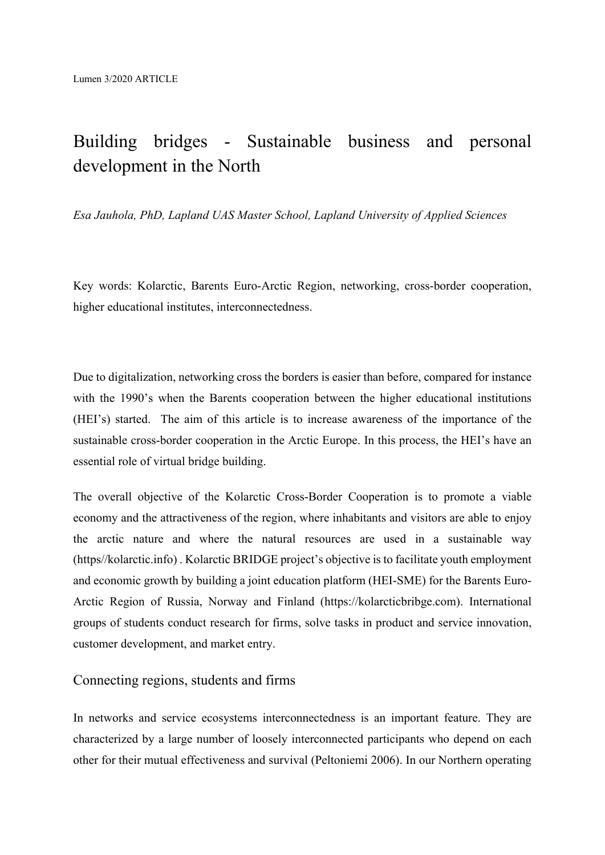# Building bridges - Sustainable business and personal development in the North

*Esa Jauhola, PhD, Lapland UAS Master School, Lapland University of Applied Sciences* 

Key words: Kolarctic, Barents Euro-Arctic Region, networking, cross-border cooperation, higher educational institutes, interconnectedness.

Due to digitalization, networking cross the borders is easier than before, compared for instance with the 1990's when the Barents cooperation between the higher educational institutions (HEI's) started. The aim of this article is to increase awareness of the importance of the sustainable cross-border cooperation in the Arctic Europe. In this process, the HEI's have an essential role of virtual bridge building.

The overall objective of the Kolarctic Cross-Border Cooperation is to promote a viable economy and the attractiveness of the region, where inhabitants and visitors are able to enjoy the arctic nature and where the natural resources are used in a sustainable way (https//kolarctic.info) . Kolarctic BRIDGE project's objective is to facilitate youth employment and economic growth by building a joint education platform (HEI-SME) for the Barents Euro-Arctic Region of Russia, Norway and Finland (https://kolarcticbribge.com). International groups of students conduct research for firms, solve tasks in product and service innovation, customer development, and market entry.

## Connecting regions, students and firms

In networks and service ecosystems interconnectedness is an important feature. They are characterized by a large number of loosely interconnected participants who depend on each other for their mutual effectiveness and survival (Peltoniemi 2006). In our Northern operating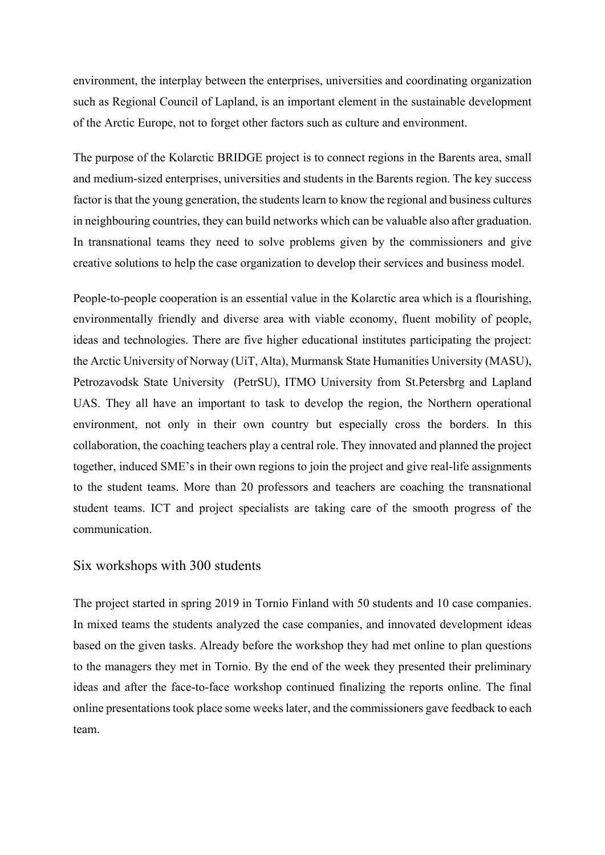environment, the interplay between the enterprises, universities and coordinating organization such as Regional Council of Lapland, is an important element in the sustainable development of the Arctic Europe, not to forget other factors such as culture and environment.

The purpose of the Kolarctic BRIDGE project is to connect regions in the Barents area, small and medium-sized enterprises, universities and students in the Barents region. The key success factor is that the young generation, the students learn to know the regional and business cultures in neighbouring countries, they can build networks which can be valuable also after graduation. In transnational teams they need to solve problems given by the commissioners and give creative solutions to help the case organization to develop their services and business model.

People-to-people cooperation is an essential value in the Kolarctic area which is a flourishing, environmentally friendly and diverse area with viable economy, fluent mobility of people, ideas and technologies. There are five higher educational institutes participating the project: the Arctic University of Norway (UiT, Alta), Murmansk State Humanities University (MASU), Petrozavodsk State University (PetrSU), ITMO University from St.Petersbrg and Lapland UAS. They all have an important to task to develop the region, the Northern operational environment, not only in their own country but especially cross the borders. In this collaboration, the coaching teachers play a central role. They innovated and planned the project together, induced SME's in their own regions to join the project and give real-life assignments to the student teams. More than 20 professors and teachers are coaching the transnational student teams. ICT and project specialists are taking care of the smooth progress of the communication.

#### Six workshops with 300 students

The project started in spring 2019 in Tornio Finland with 50 students and 10 case companies. In mixed teams the students analyzed the case companies, and innovated development ideas based on the given tasks. Already before the workshop they had met online to plan questions to the managers they met in Tornio. By the end of the week they presented their preliminary ideas and after the face-to-face workshop continued finalizing the reports online. The final online presentations took place some weeks later, and the commissioners gave feedback to each team.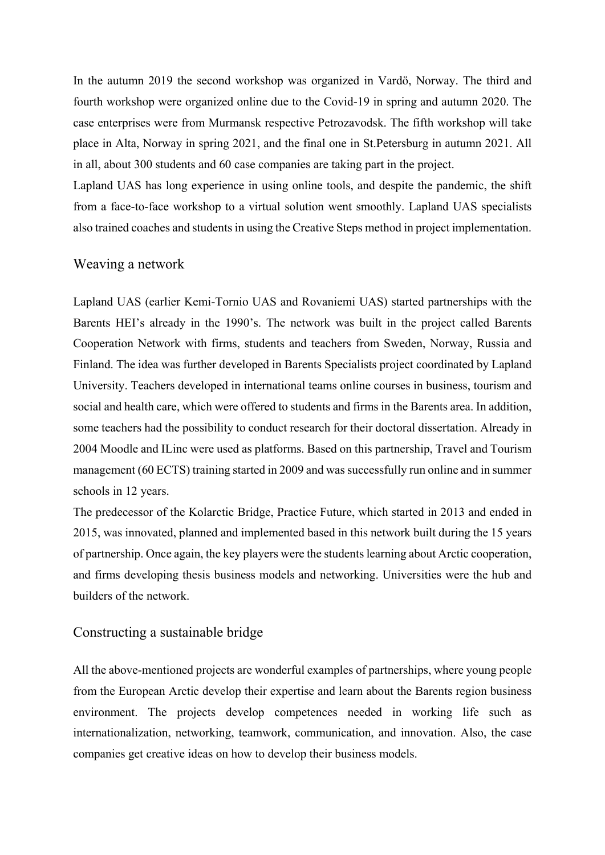In the autumn 2019 the second workshop was organized in Vardö, Norway. The third and fourth workshop were organized online due to the Covid-19 in spring and autumn 2020. The case enterprises were from Murmansk respective Petrozavodsk. The fifth workshop will take place in Alta, Norway in spring 2021, and the final one in St.Petersburg in autumn 2021. All in all, about 300 students and 60 case companies are taking part in the project.

Lapland UAS has long experience in using online tools, and despite the pandemic, the shift from a face-to-face workshop to a virtual solution went smoothly. Lapland UAS specialists also trained coaches and students in using the Creative Steps method in project implementation.

# Weaving a network

Lapland UAS (earlier Kemi-Tornio UAS and Rovaniemi UAS) started partnerships with the Barents HEI's already in the 1990's. The network was built in the project called Barents Cooperation Network with firms, students and teachers from Sweden, Norway, Russia and Finland. The idea was further developed in Barents Specialists project coordinated by Lapland University. Teachers developed in international teams online courses in business, tourism and social and health care, which were offered to students and firms in the Barents area. In addition, some teachers had the possibility to conduct research for their doctoral dissertation. Already in 2004 Moodle and ILinc were used as platforms. Based on this partnership, Travel and Tourism management (60 ECTS) training started in 2009 and was successfully run online and in summer schools in 12 years.

The predecessor of the Kolarctic Bridge, Practice Future, which started in 2013 and ended in 2015, was innovated, planned and implemented based in this network built during the 15 years of partnership. Once again, the key players were the students learning about Arctic cooperation, and firms developing thesis business models and networking. Universities were the hub and builders of the network.

#### Constructing a sustainable bridge

All the above-mentioned projects are wonderful examples of partnerships, where young people from the European Arctic develop their expertise and learn about the Barents region business environment. The projects develop competences needed in working life such as internationalization, networking, teamwork, communication, and innovation. Also, the case companies get creative ideas on how to develop their business models.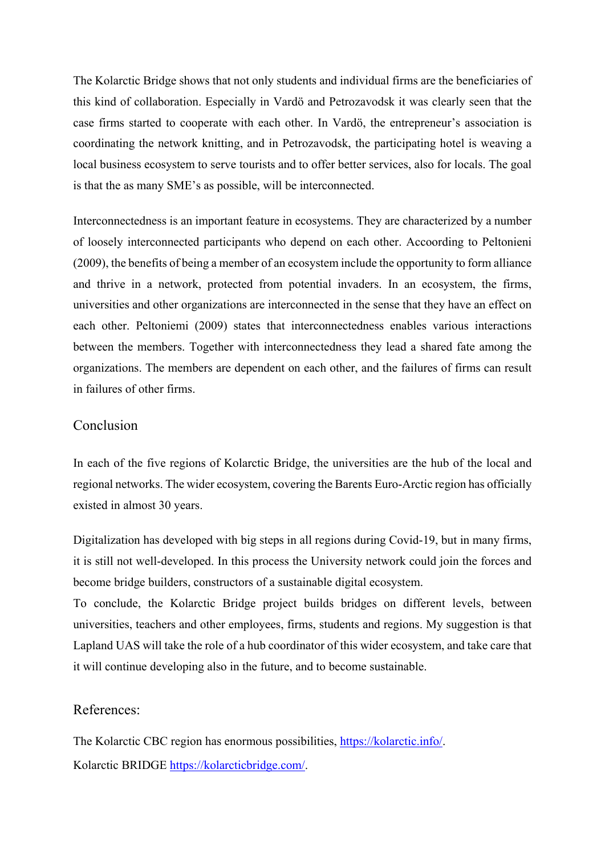The Kolarctic Bridge shows that not only students and individual firms are the beneficiaries of this kind of collaboration. Especially in Vardö and Petrozavodsk it was clearly seen that the case firms started to cooperate with each other. In Vardö, the entrepreneur's association is coordinating the network knitting, and in Petrozavodsk, the participating hotel is weaving a local business ecosystem to serve tourists and to offer better services, also for locals. The goal is that the as many SME's as possible, will be interconnected.

Interconnectedness is an important feature in ecosystems. They are characterized by a number of loosely interconnected participants who depend on each other. Accoording to Peltonieni (2009), the benefits of being a member of an ecosystem include the opportunity to form alliance and thrive in a network, protected from potential invaders. In an ecosystem, the firms, universities and other organizations are interconnected in the sense that they have an effect on each other. Peltoniemi (2009) states that interconnectedness enables various interactions between the members. Together with interconnectedness they lead a shared fate among the organizations. The members are dependent on each other, and the failures of firms can result in failures of other firms.

## Conclusion

In each of the five regions of Kolarctic Bridge, the universities are the hub of the local and regional networks. The wider ecosystem, covering the Barents Euro-Arctic region has officially existed in almost 30 years.

Digitalization has developed with big steps in all regions during Covid-19, but in many firms, it is still not well-developed. In this process the University network could join the forces and become bridge builders, constructors of a sustainable digital ecosystem.

To conclude, the Kolarctic Bridge project builds bridges on different levels, between universities, teachers and other employees, firms, students and regions. My suggestion is that Lapland UAS will take the role of a hub coordinator of this wider ecosystem, and take care that it will continue developing also in the future, and to become sustainable.

# References:

The Kolarctic CBC region has enormous possibilities, [https://kolarctic.info/.](https://kolarctic.info/) Kolarctic BRIDGE [https://kolarcticbridge.com/.](https://kolarcticbridge.com/)